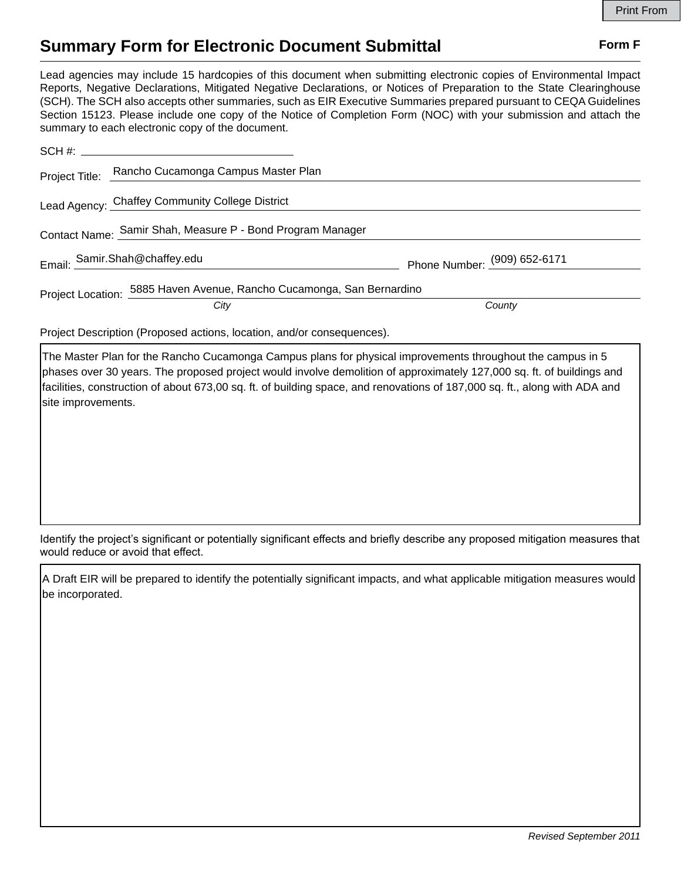## **Summary Form for Electronic Document Submittal Form F Form F**

Lead agencies may include 15 hardcopies of this document when submitting electronic copies of Environmental Impact Reports, Negative Declarations, Mitigated Negative Declarations, or Notices of Preparation to the State Clearinghouse (SCH). The SCH also accepts other summaries, such as EIR Executive Summaries prepared pursuant to CEQA Guidelines Section 15123. Please include one copy of the Notice of Completion Form (NOC) with your submission and attach the summary to each electronic copy of the document.

|                                                                       | Project Title: Rancho Cucamonga Campus Master Plan |                              |
|-----------------------------------------------------------------------|----------------------------------------------------|------------------------------|
|                                                                       | Lead Agency: Chaffey Community College District    |                              |
| Contact Name: Samir Shah, Measure P - Bond Program Manager            |                                                    |                              |
|                                                                       | Email: Samir.Shah@chaffey.edu                      | Phone Number: (909) 652-6171 |
| Project Location: 5885 Haven Avenue, Rancho Cucamonga, San Bernardino |                                                    |                              |
|                                                                       | City                                               | County                       |

Project Description (Proposed actions, location, and/or consequences).

The Master Plan for the Rancho Cucamonga Campus plans for physical improvements throughout the campus in 5 phases over 30 years. The proposed project would involve demolition of approximately 127,000 sq. ft. of buildings and facilities, construction of about 673,00 sq. ft. of building space, and renovations of 187,000 sq. ft., along with ADA and site improvements.

Identify the project's significant or potentially significant effects and briefly describe any proposed mitigation measures that would reduce or avoid that effect.

A Draft EIR will be prepared to identify the potentially significant impacts, and what applicable mitigation measures would be incorporated.